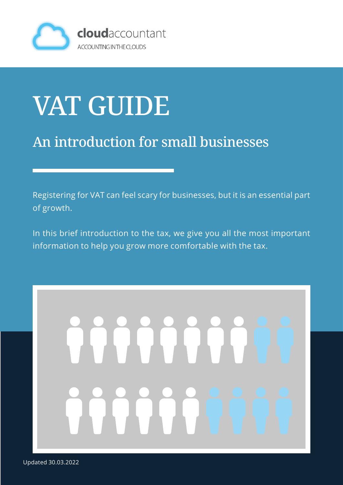

## VAT GUIDE

#### An introduction for small businesses

Registering for VAT can feel scary for businesses, but it is an essential part of growth.

In this brief introduction to the tax, we give you all the most important information to help you grow more comfortable with the tax.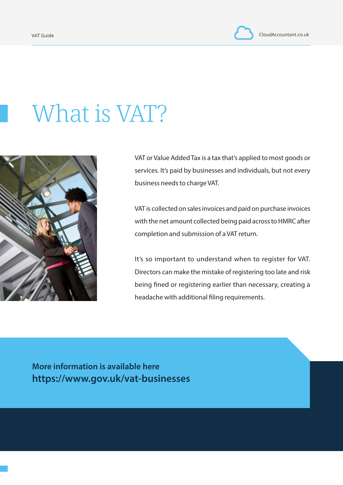### What is VAT?



VAT or Value Added Tax is a tax that's applied to most goods or services. It's paid by businesses and individuals, but not every business needs to charge VAT.

VAT is collected on sales invoices and paid on purchase invoices with the net amount collected being paid across to HMRC after completion and submission of a VAT return.

It's so important to understand when to register for VAT. Directors can make the mistake of registering too late and risk being fined or registering earlier than necessary, creating a headache with additional filing requirements.

**More information is available here https://www.gov.uk/vat-businesses**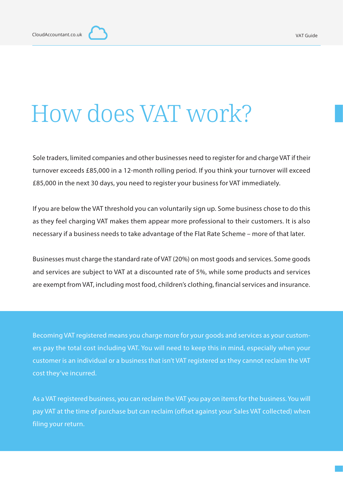#### How does VAT work?

Sole traders, limited companies and other businesses need to register for and charge VAT if their turnover exceeds £85,000 in a 12-month rolling period. If you think your turnover will exceed £85,000 in the next 30 days, you need to register your business for VAT immediately.

If you are below the VAT threshold you can voluntarily sign up. Some business chose to do this as they feel charging VAT makes them appear more professional to their customers. It is also necessary if a business needs to take advantage of the Flat Rate Scheme – more of that later.

Businesses must charge the standard rate of VAT (20%) on most goods and services. Some goods and services are subject to VAT at a discounted rate of 5%, while some products and services are exempt from VAT, including most food, children's clothing, financial services and insurance.

Becoming VAT registered means you charge more for your goods and services as your customers pay the total cost including VAT. You will need to keep this in mind, especially when your customer is an individual or a business that isn't VAT registered as they cannot reclaim the VAT cost they've incurred.

As a VAT registered business, you can reclaim the VAT you pay on items for the business. You will pay VAT at the time of purchase but can reclaim (offset against your Sales VAT collected) when filing your return.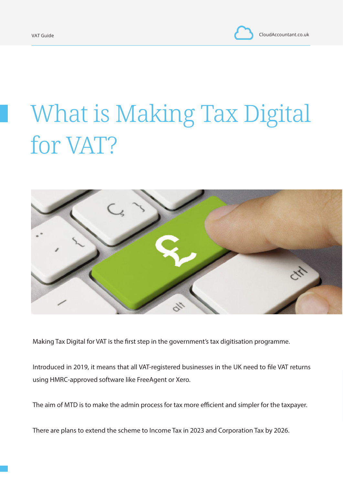VAT Guide CloudAccountant.co.uk

## What is Making Tax Digital for VAT?



Making Tax Digital for VAT is the first step in the government's tax digitisation programme.

Introduced in 2019, it means that all VAT-registered businesses in the UK need to file VAT returns using HMRC-approved software like FreeAgent or Xero.

The aim of MTD is to make the admin process for tax more efficient and simpler for the taxpayer.

There are plans to extend the scheme to Income Tax in 2023 and Corporation Tax by 2026.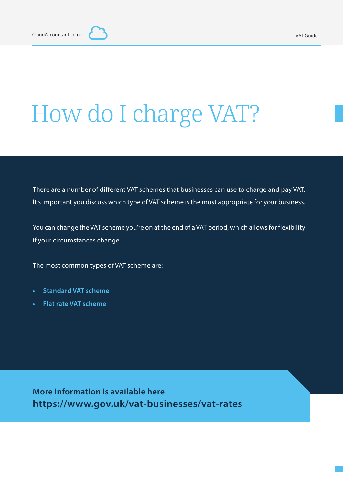## How do I charge VAT?

There are a number of different VAT schemes that businesses can use to charge and pay VAT. It's important you discuss which type of VAT scheme is the most appropriate for your business.

You can change the VAT scheme you're on at the end of a VAT period, which allows for flexibility if your circumstances change.

The most common types of VAT scheme are:

- **• Standard VAT scheme**
- **• Flat rate VAT scheme**

**More information is available here https://www.gov.uk/vat-businesses/vat-rates**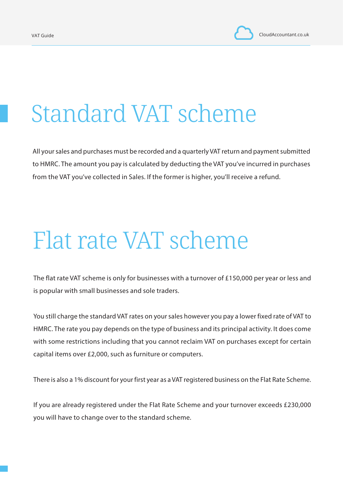#### Standard VAT scheme

All your sales and purchases must be recorded and a quarterly VAT return and payment submitted to HMRC. The amount you pay is calculated by deducting the VAT you've incurred in purchases from the VAT you've collected in Sales. If the former is higher, you'll receive a refund.

#### Flat rate VAT scheme

The flat rate VAT scheme is only for businesses with a turnover of £150,000 per year or less and is popular with small businesses and sole traders.

You still charge the standard VAT rates on your sales however you pay a lower fixed rate of VAT to HMRC. The rate you pay depends on the type of business and its principal activity. It does come with some restrictions including that you cannot reclaim VAT on purchases except for certain capital items over £2,000, such as furniture or computers.

There is also a 1% discount for your first year as a VAT registered business on the Flat Rate Scheme.

If you are already registered under the Flat Rate Scheme and your turnover exceeds £230,000 you will have to change over to the standard scheme.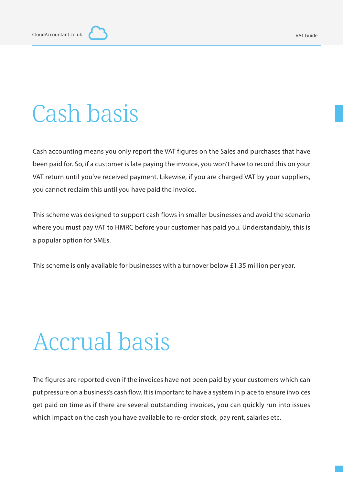#### Cash basis

Cash accounting means you only report the VAT figures on the Sales and purchases that have been paid for. So, if a customer is late paying the invoice, you won't have to record this on your VAT return until you've received payment. Likewise, if you are charged VAT by your suppliers, you cannot reclaim this until you have paid the invoice.

This scheme was designed to support cash flows in smaller businesses and avoid the scenario where you must pay VAT to HMRC before your customer has paid you. Understandably, this is a popular option for SMEs.

This scheme is only available for businesses with a turnover below £1.35 million per year.

#### Accrual basis

The figures are reported even if the invoices have not been paid by your customers which can put pressure on a business's cash flow. It is important to have a system in place to ensure invoices get paid on time as if there are several outstanding invoices, you can quickly run into issues which impact on the cash you have available to re-order stock, pay rent, salaries etc.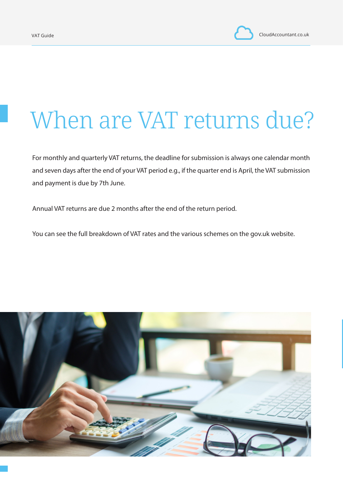#### When are VAT returns due?

For monthly and quarterly VAT returns, the deadline for submission is always one calendar month and seven days after the end of your VAT period e.g., if the quarter end is April, the VAT submission and payment is due by 7th June.

Annual VAT returns are due 2 months after the end of the return period.

You can see the full breakdown of VAT rates and the various schemes on the gov.uk website.

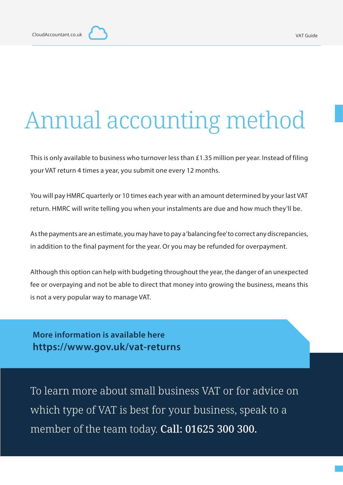#### Annual accounting method

This is only available to business who turnover less than £1.35 million per year. Instead of filing your VAT return 4 times a year, you submit one every 12 months.

You will pay HMRC quarterly or 10 times each year with an amount determined by your last VAT return. HMRC will write telling you when your instalments are due and how much they'll be.

As the payments are an estimate, you may have to pay a 'balancing fee' to correct any discrepancies, in addition to the final payment for the year. Or you may be refunded for overpayment.

Although this option can help with budgeting throughout the year, the danger of an unexpected fee or overpaying and not be able to direct that money into growing the business, means this is not a very popular way to manage VAT.

**More information is available here https://www.gov.uk/vat-returns**

To learn more about small business VAT or for advice on which type of VAT is best for your business, speak to a member of the team today. Call: 01625 300 300.